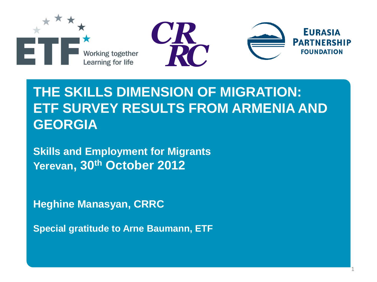

## **THE SKILLS DIMENSION OF MIGRATION: ETF SURVEY RESULTS FROM ARMENIA AND GEORGIA**

1

**Skills and Employment for Migrants Yerevan, 30th October 2012**

**Heghine Manasyan, CRRC**

**Special gratitude to Arne Baumann, ETF**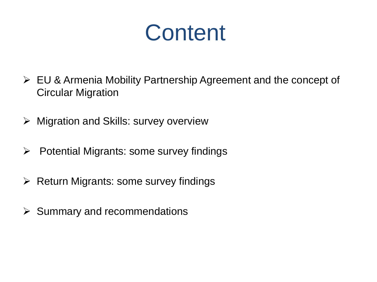**Content** 

- EU & Armenia Mobility Partnership Agreement and the concept of Circular Migration
- $\triangleright$  Migration and Skills: survey overview
- $\triangleright$  Potential Migrants: some survey findings
- $\triangleright$  Return Migrants: some survey findings
- $\triangleright$  Summary and recommendations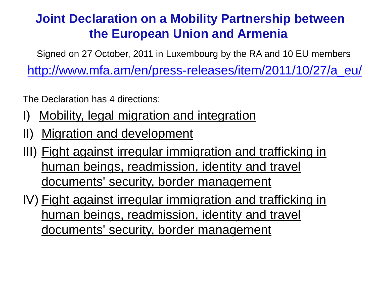### **Joint Declaration on a Mobility Partnership between the European Union and Armenia**

Signed on 27 October, 2011 in Luxembourg by the RA and 10 EU members

[http://www.mfa.am/en/press-releases/item/2011/10/27/a\\_eu/](http://www.mfa.am/en/press-releases/item/2011/10/27/a_eu/)

The Declaration has 4 directions:

- I) Mobility, legal migration and integration
- II) Migration and development
- III) Fight against irregular immigration and trafficking in human beings, readmission, identity and travel documents' security, border management
- IV) Fight against irregular immigration and trafficking in human beings, readmission, identity and travel documents' security, border management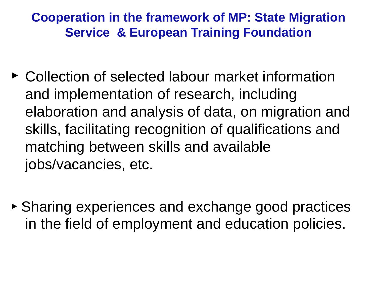### **Cooperation in the framework of MP: State Migration Service & European Training Foundation**

- ► Collection of selected labour market information and implementation of research, including elaboration and analysis of data, on migration and skills, facilitating recognition of qualifications and matching between skills and available jobs/vacancies, etc.
- ► Sharing experiences and exchange good practices in the field of employment and education policies.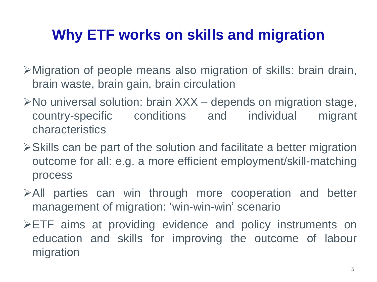# **Why ETF works on skills and migration**

- Migration of people means also migration of skills: brain drain, brain waste, brain gain, brain circulation
- $\triangleright$  No universal solution: brain  $XXX -$  depends on migration stage, country-specific conditions and individual migrant characteristics
- $\triangleright$  Skills can be part of the solution and facilitate a better migration outcome for all: e.g. a more efficient employment/skill-matching process
- All parties can win through more cooperation and better management of migration: 'win-win-win' scenario
- ETF aims at providing evidence and policy instruments on education and skills for improving the outcome of labour migration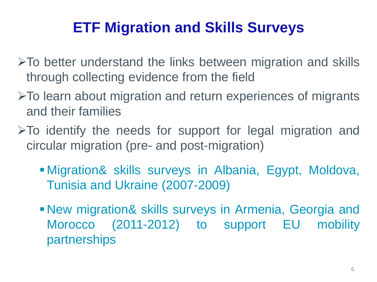# **ETF Migration and Skills Surveys**

- $\triangleright$ To better understand the links between migration and skills through collecting evidence from the field
- To learn about migration and return experiences of migrants and their families
- $\triangleright$  To identify the needs for support for legal migration and circular migration (pre- and post-migration)
	- Migration& skills surveys in Albania, Egypt, Moldova, Tunisia and Ukraine (2007-2009)
	- New migration& skills surveys in Armenia, Georgia and Morocco (2011-2012) to support EU mobility partnerships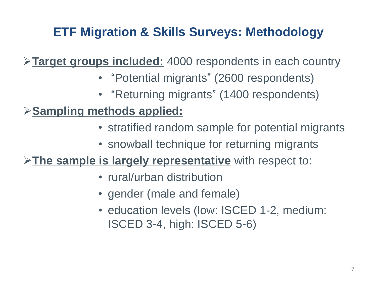### **ETF Migration & Skills Surveys: Methodology**

**Target groups included:** 4000 respondents in each country

- "Potential migrants" (2600 respondents)
- "Returning migrants" (1400 respondents)

### **Sampling methods applied:**

- stratified random sample for potential migrants
- snowball technique for returning migrants

**The sample is largely representative** with respect to:

- rural/urban distribution
- gender (male and female)
- education levels (low: ISCED 1-2, medium: ISCED 3-4, high: ISCED 5-6)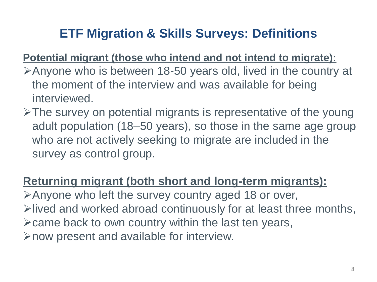### **ETF Migration & Skills Surveys: Definitions**

#### **Potential migrant (those who intend and not intend to migrate):**

- Anyone who is between 18-50 years old, lived in the country at the moment of the interview and was available for being interviewed.
- $\triangleright$ The survey on potential migrants is representative of the young adult population (18–50 years), so those in the same age group who are not actively seeking to migrate are included in the survey as control group.

#### **Returning migrant (both short and long-term migrants):**

Anyone who left the survey country aged 18 or over,  $\triangleright$  lived and worked abroad continuously for at least three months,  $\triangleright$  came back to own country within the last ten years, now present and available for interview.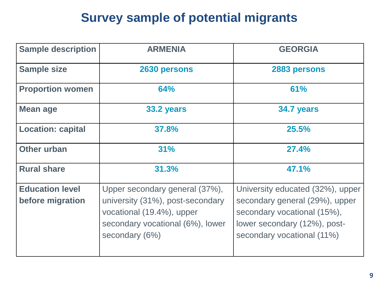### **Survey sample of potential migrants**

| <b>Sample description</b> | <b>ARMENIA</b>                   | <b>GEORGIA</b>                   |
|---------------------------|----------------------------------|----------------------------------|
| <b>Sample size</b>        | 2630 persons                     | 2883 persons                     |
| <b>Proportion women</b>   | 64%                              | 61%                              |
| <b>Mean age</b>           | 33.2 years                       | 34.7 years                       |
| <b>Location: capital</b>  | 37.8%                            | 25.5%                            |
| <b>Other urban</b>        | 31%                              | <b>27.4%</b>                     |
| <b>Rural share</b>        | 31.3%                            | 47.1%                            |
| <b>Education level</b>    | Upper secondary general (37%),   | University educated (32%), upper |
| before migration          | university (31%), post-secondary | secondary general (29%), upper   |
|                           | vocational (19.4%), upper        | secondary vocational (15%),      |
|                           | secondary vocational (6%), lower | lower secondary (12%), post-     |
|                           | secondary (6%)                   | secondary vocational (11%)       |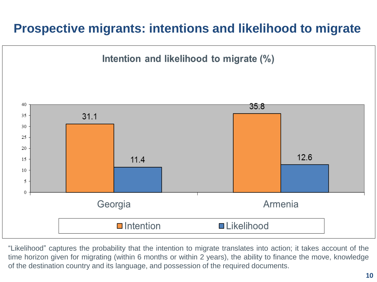### **Prospective migrants: intentions and likelihood to migrate**



"Likelihood" captures the probability that the intention to migrate translates into action; it takes account of the time horizon given for migrating (within 6 months or within 2 years), the ability to finance the move, knowledge of the destination country and its language, and possession of the required documents.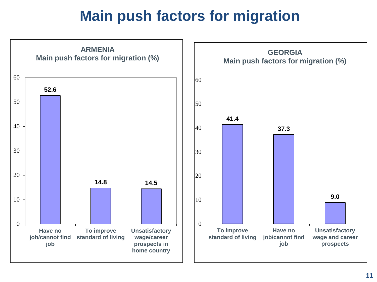# **Main push factors for migration**

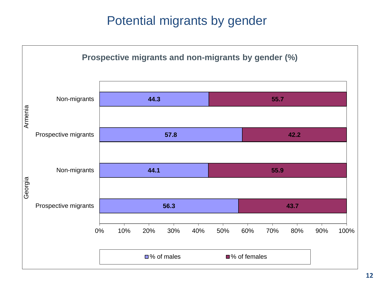### Potential migrants by gender

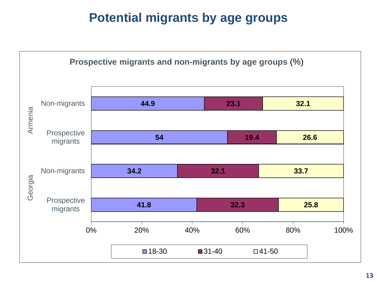### **Potential migrants by age groups**

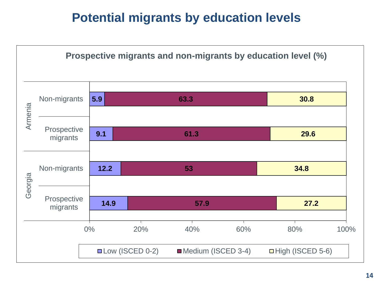### **Potential migrants by education levels**

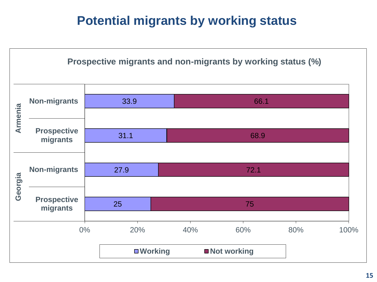### **Potential migrants by working status**

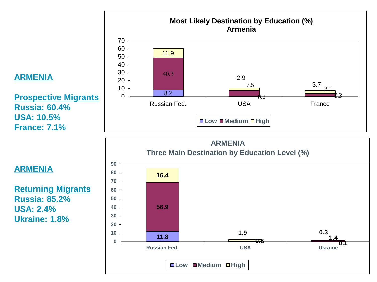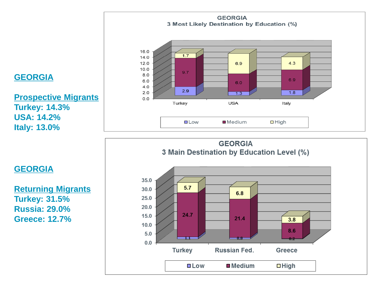

**Returning Migrants Turkey: 31.5% Russia: 29.0% Greece: 12.7%**

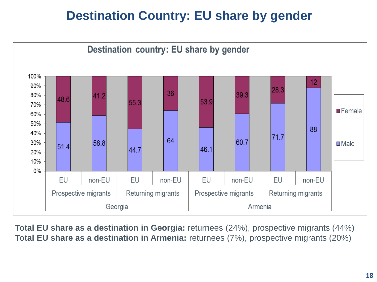### **Destination Country: EU share by gender**



**Total EU share as a destination in Georgia:** returnees (24%), prospective migrants (44%) **Total EU share as a destination in Armenia:** returnees (7%), prospective migrants (20%)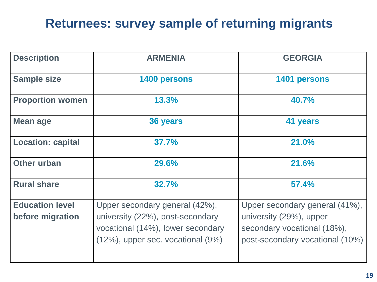### **Returnees: survey sample of returning migrants**

| <b>Description</b>                         | <b>ARMENIA</b>                                                                                                                                    | <b>GEORGIA</b>                                                                                                              |
|--------------------------------------------|---------------------------------------------------------------------------------------------------------------------------------------------------|-----------------------------------------------------------------------------------------------------------------------------|
| <b>Sample size</b>                         | 1400 persons                                                                                                                                      | 1401 persons                                                                                                                |
| <b>Proportion women</b>                    | 13.3%                                                                                                                                             | 40.7%                                                                                                                       |
| Mean age                                   | 36 years                                                                                                                                          | 41 years                                                                                                                    |
| <b>Location: capital</b>                   | 37.7%                                                                                                                                             | 21.0%                                                                                                                       |
| <b>Other urban</b>                         | 29.6%                                                                                                                                             | 21.6%                                                                                                                       |
| <b>Rural share</b>                         | 32.7%                                                                                                                                             | 57.4%                                                                                                                       |
| <b>Education level</b><br>before migration | Upper secondary general (42%),<br>university (22%), post-secondary<br>vocational (14%), lower secondary<br>$(12%)$ , upper sec. vocational $(9%)$ | Upper secondary general (41%),<br>university (29%), upper<br>secondary vocational (18%),<br>post-secondary vocational (10%) |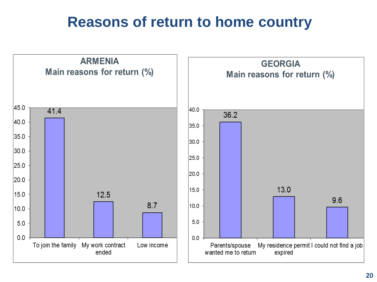## **Reasons of return to home country**

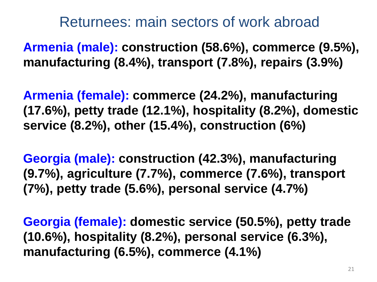### Returnees: main sectors of work abroad

**Armenia (male): construction (58.6%), commerce (9.5%), manufacturing (8.4%), transport (7.8%), repairs (3.9%)**

**Armenia (female): commerce (24.2%), manufacturing (17.6%), petty trade (12.1%), hospitality (8.2%), domestic service (8.2%), other (15.4%), construction (6%)** 

**Georgia (male): construction (42.3%), manufacturing (9.7%), agriculture (7.7%), commerce (7.6%), transport (7%), petty trade (5.6%), personal service (4.7%)** 

**Georgia (female): domestic service (50.5%), petty trade (10.6%), hospitality (8.2%), personal service (6.3%), manufacturing (6.5%), commerce (4.1%)**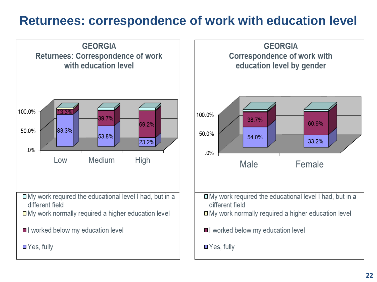### **Returnees: correspondence of work with education level**

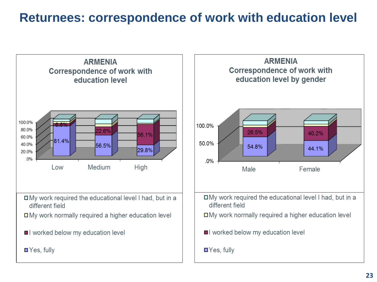### **Returnees: correspondence of work with education level**



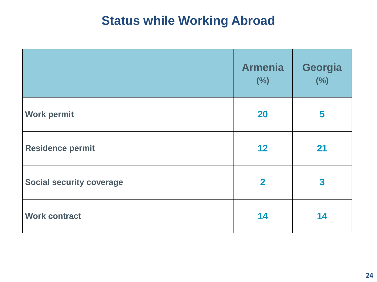### **Status while Working Abroad**

|                                 | <b>Armenia</b><br>(%)   | Georgia<br>(%)          |
|---------------------------------|-------------------------|-------------------------|
| <b>Work permit</b>              | <b>20</b>               | 5                       |
| <b>Residence permit</b>         | 12                      | 21                      |
| <b>Social security coverage</b> | $\overline{\mathbf{2}}$ | $\overline{\mathbf{3}}$ |
| <b>Work contract</b>            | 14                      | 14                      |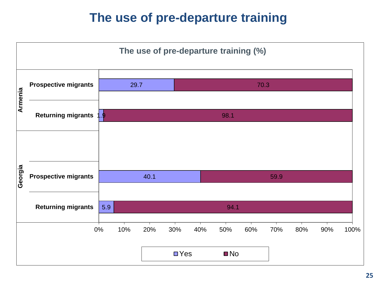### **The use of pre-departure training**

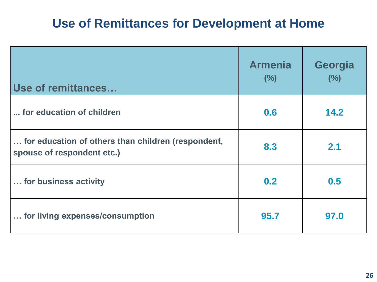### **Use of Remittances for Development at Home**

| <b>Use of remittances</b>                                                        | <b>Armenia</b><br>(%) | Georgia<br>(%) |
|----------------------------------------------------------------------------------|-----------------------|----------------|
| for education of children                                                        | 0.6                   | 14.2           |
| for education of others than children (respondent,<br>spouse of respondent etc.) | 8.3                   | 2.1            |
| for business activity                                                            | 0.2                   | 0.5            |
| for living expenses/consumption                                                  | 95.7                  | 97.0           |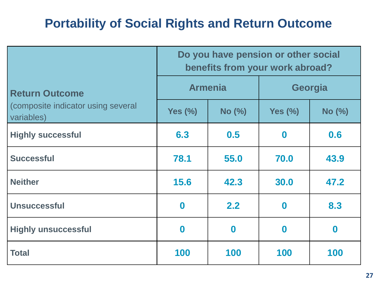### **Portability of Social Rights and Return Outcome**

|                                                  | Do you have pension or other social<br>benefits from your work abroad? |          |                  |          |
|--------------------------------------------------|------------------------------------------------------------------------|----------|------------------|----------|
| <b>Return Outcome</b>                            | <b>Armenia</b>                                                         |          | Georgia          |          |
| (composite indicator using several<br>variables) | Yes $(\%)$                                                             | No (%)   | Yes $(\%)$       | No (%)   |
| <b>Highly successful</b>                         | 6.3                                                                    | 0.5      | $\boldsymbol{0}$ | 0.6      |
| <b>Successful</b>                                | 78.1                                                                   | 55.0     | 70.0             | 43.9     |
| <b>Neither</b>                                   | 15.6                                                                   | 42.3     | 30.0             | 47.2     |
| <b>Unsuccessful</b>                              | $\bf{0}$                                                               | 2.2      | $\mathbf 0$      | 8.3      |
| <b>Highly unsuccessful</b>                       | $\mathbf 0$                                                            | $\bf{0}$ | $\bf{0}$         | $\bf{0}$ |
| <b>Total</b>                                     | 100                                                                    | 100      | 100              | 100      |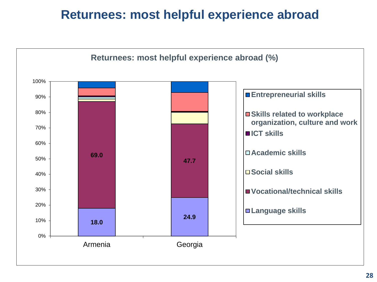### **Returnees: most helpful experience abroad**

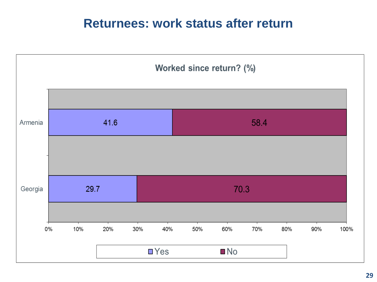#### **Returnees: work status after return**

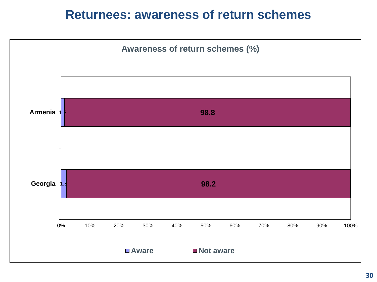#### **Returnees: awareness of return schemes**

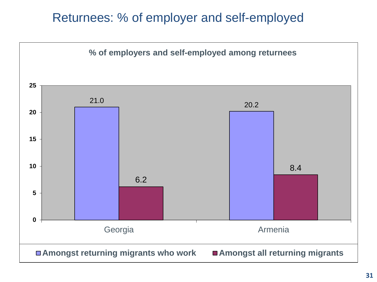#### Returnees: % of employer and self-employed

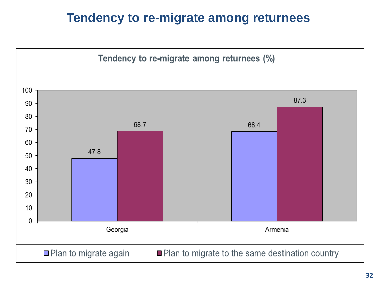### **Tendency to re-migrate among returnees**

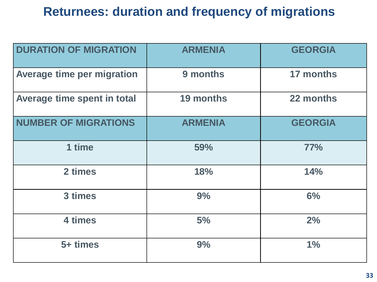### **Returnees: duration and frequency of migrations**

| <b>DURATION OF MIGRATION</b>      | <b>ARMENIA</b> | <b>GEORGIA</b>   |
|-----------------------------------|----------------|------------------|
| <b>Average time per migration</b> | 9 months       | <b>17 months</b> |
| Average time spent in total       | 19 months      | 22 months        |
| <b>NUMBER OF MIGRATIONS</b>       | <b>ARMENIA</b> | <b>GEORGIA</b>   |
| 1 time                            | 59%            | 77%              |
| 2 times                           | 18%            | 14%              |
| 3 times                           | 9%             | 6%               |
| 4 times                           | 5%             | 2%               |
| 5+ times                          | 9%             | 1%               |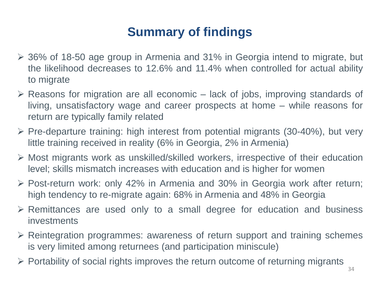## **Summary of findings**

- 36% of 18-50 age group in Armenia and 31% in Georgia intend to migrate, but the likelihood decreases to 12.6% and 11.4% when controlled for actual ability to migrate
- $\triangleright$  Reasons for migration are all economic lack of jobs, improving standards of living, unsatisfactory wage and career prospects at home – while reasons for return are typically family related
- $\triangleright$  Pre-departure training: high interest from potential migrants (30-40%), but very little training received in reality (6% in Georgia, 2% in Armenia)
- Most migrants work as unskilled/skilled workers, irrespective of their education level; skills mismatch increases with education and is higher for women
- $\triangleright$  Post-return work: only 42% in Armenia and 30% in Georgia work after return; high tendency to re-migrate again: 68% in Armenia and 48% in Georgia
- Remittances are used only to a small degree for education and business investments
- Reintegration programmes: awareness of return support and training schemes is very limited among returnees (and participation miniscule)
- $\triangleright$  Portability of social rights improves the return outcome of returning migrants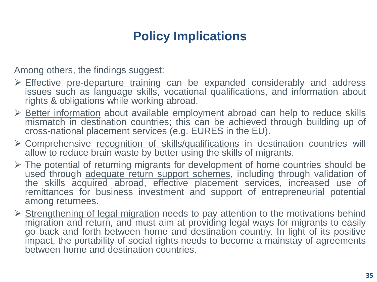### **Policy Implications**

Among others, the findings suggest:

- $\triangleright$  Effective pre-departure training can be expanded considerably and address issues such as language skills, vocational qualifications, and information about rights & obligations while working abroad.
- $\triangleright$  Better information about available employment abroad can help to reduce skills mismatch in destination countries; this can be achieved through building up of cross-national placement services (e.g. EURES in the EU).
- > Comprehensive recognition of skills/qualifications in destination countries will allow to reduce brain waste by better using the skills of migrants.
- $\triangleright$  The potential of returning migrants for development of home countries should be used through adequate return support schemes, including through validation of the skills acquired abroad, effective placement services, increased use of remittances for business investment and support of entrepreneurial potential among returnees.
- $\triangleright$  Strengthening of legal migration needs to pay attention to the motivations behind migration and return, and must aim at providing legal ways for migrants to easily go back and forth between home and destination country. In light of its positive impact, the portability of social rights needs to become a mainstay of agreements between home and destination countries.